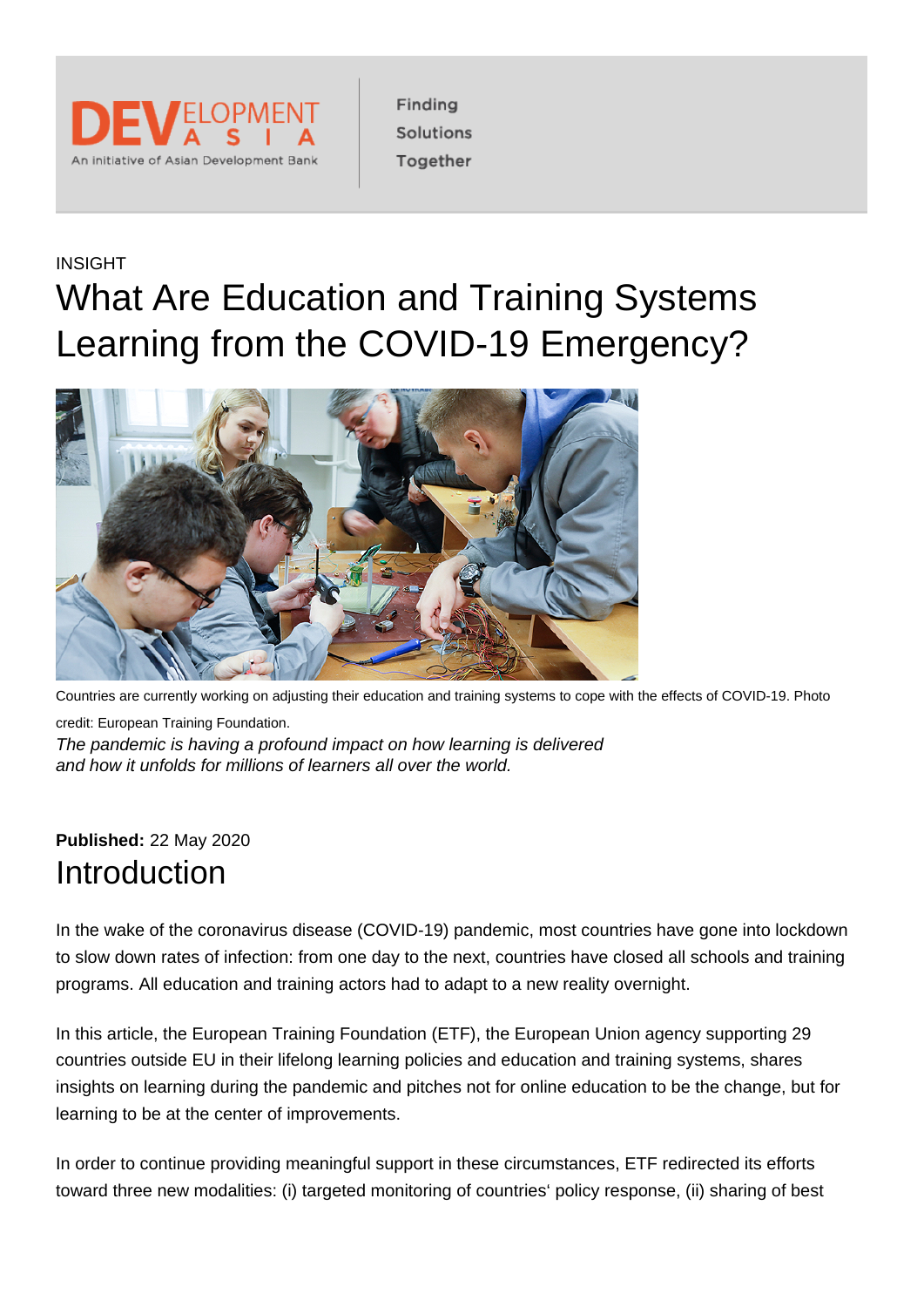

Finding Solutions Together

## INSIGHT What Are Education and Training Systems Learning from the COVID-19 Emergency?



Countries are currently working on adjusting their education and training systems to cope with the effects of COVID-19. Photo credit: European Training Foundation. The pandemic is having a profound impact on how learning is delivered and how it unfolds for millions of learners all over the world.

#### **Published:** 22 May 2020 Introduction

In the wake of the coronavirus disease (COVID-19) pandemic, most countries have gone into lockdown to slow down rates of infection: from one day to the next, countries have closed all schools and training programs. All education and training actors had to adapt to a new reality overnight.

In this article, the European Training Foundation (ETF), the European Union agency supporting 29 countries outside EU in their lifelong learning policies and education and training systems, shares insights on learning during the pandemic and pitches not for online education to be the change, but for learning to be at the center of improvements.

In order to continue providing meaningful support in these circumstances, ETF redirected its efforts toward three new modalities: (i) targeted monitoring of countries' policy response, (ii) sharing of best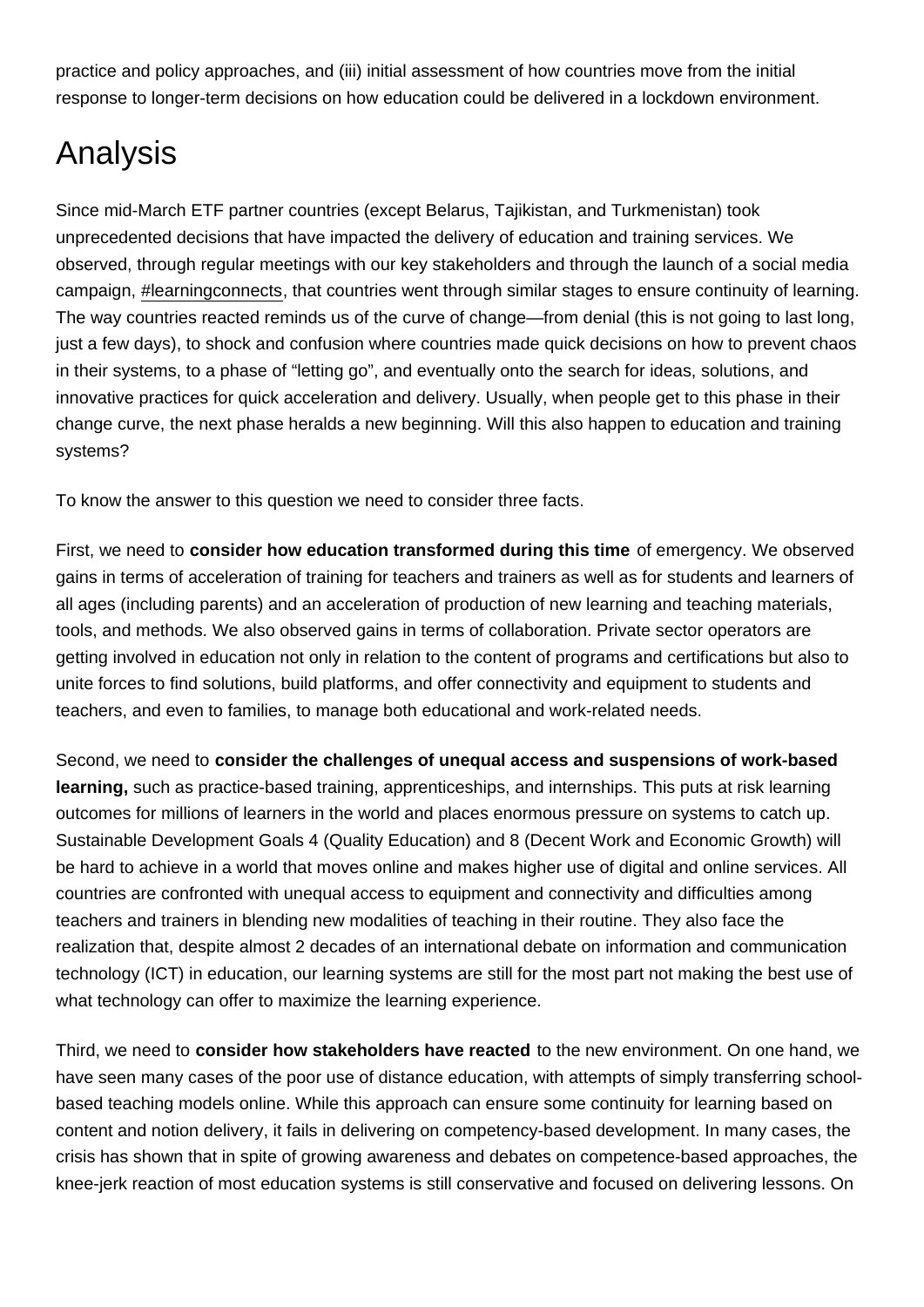practice and policy approaches, and (iii) initial assessment of how countries move from the initial response to longer-term decisions on how education could be delivered in a lockdown environment.

# Analysis

Since mid-March ETF partner countries (except Belarus, Tajikistan, and Turkmenistan) took unprecedented decisions that have impacted the delivery of education and training services. We observed, through regular meetings with our key stakeholders and through the launch of a social media campaign, [#learningconnects](https://www.etf.europa.eu/en/projects/learningconnects), that countries went through similar stages to ensure continuity of learning. The way countries reacted reminds us of the curve of change—from denial (this is not going to last long, just a few days), to shock and confusion where countries made quick decisions on how to prevent chaos in their systems, to a phase of "letting go", and eventually onto the search for ideas, solutions, and innovative practices for quick acceleration and delivery. Usually, when people get to this phase in their change curve, the next phase heralds a new beginning. Will this also happen to education and training systems?

To know the answer to this question we need to consider three facts.

First, we need to consider how education transformed during this time of emergency. We observed gains in terms of acceleration of training for teachers and trainers as well as for students and learners of all ages (including parents) and an acceleration of production of new learning and teaching materials, tools, and methods. We also observed gains in terms of collaboration. Private sector operators are getting involved in education not only in relation to the content of programs and certifications but also to unite forces to find solutions, build platforms, and offer connectivity and equipment to students and teachers, and even to families, to manage both educational and work-related needs.

Second, we need to consider the challenges of unequal access and suspensions of work-based learning, such as practice-based training, apprenticeships, and internships. This puts at risk learning outcomes for millions of learners in the world and places enormous pressure on systems to catch up. Sustainable Development Goals 4 (Quality Education) and 8 (Decent Work and Economic Growth) will be hard to achieve in a world that moves online and makes higher use of digital and online services. All countries are confronted with unequal access to equipment and connectivity and difficulties among teachers and trainers in blending new modalities of teaching in their routine. They also face the realization that, despite almost 2 decades of an international debate on information and communication technology (ICT) in education, our learning systems are still for the most part not making the best use of what technology can offer to maximize the learning experience.

Third, we need to consider how stakeholders have reacted to the new environment. On one hand, we have seen many cases of the poor use of distance education, with attempts of simply transferring schoolbased teaching models online. While this approach can ensure some continuity for learning based on content and notion delivery, it fails in delivering on competency-based development. In many cases, the crisis has shown that in spite of growing awareness and debates on competence-based approaches, the knee-jerk reaction of most education systems is still conservative and focused on delivering lessons. On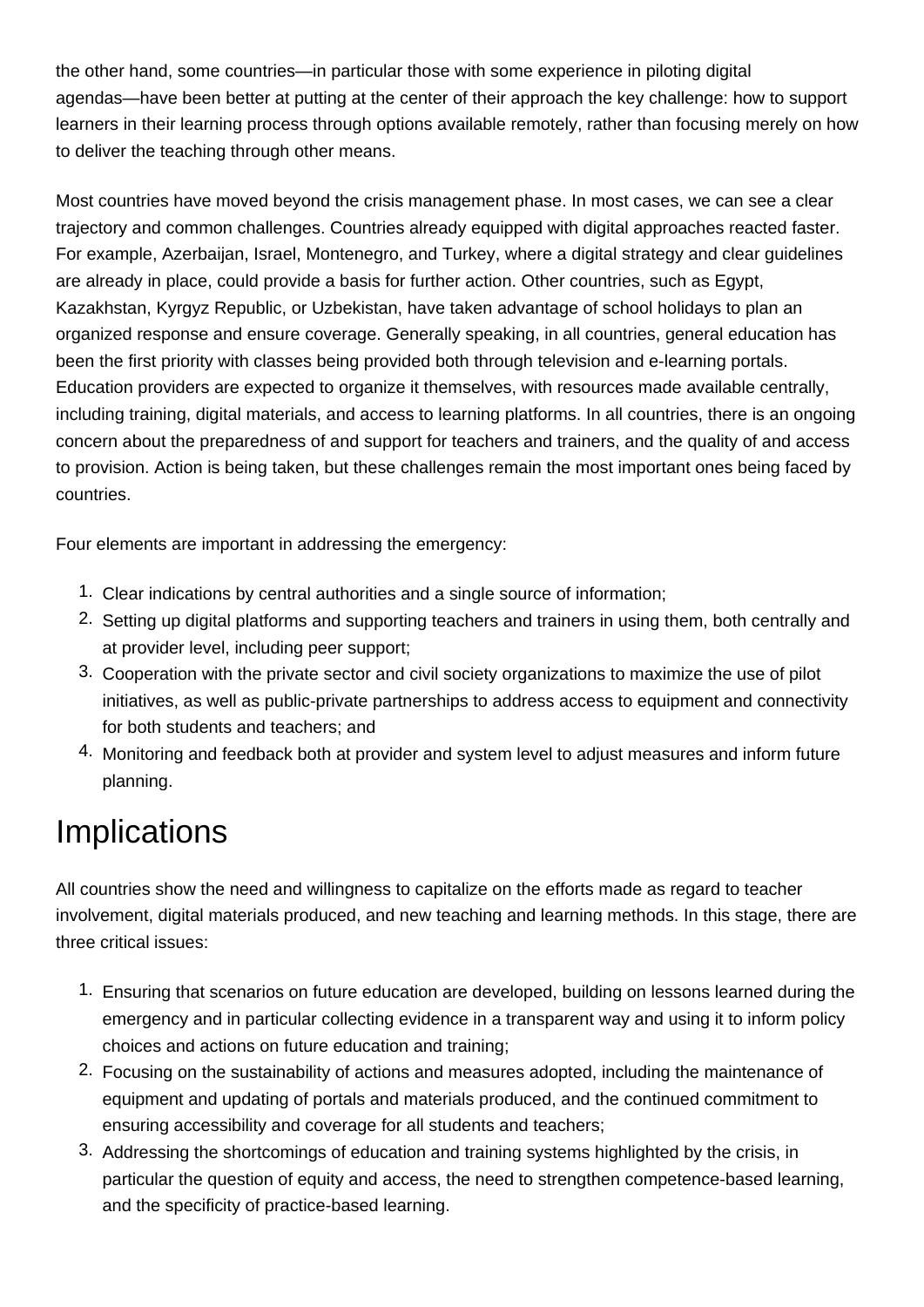the other hand, some countries—in particular those with some experience in piloting digital agendas—have been better at putting at the center of their approach the key challenge: how to support learners in their learning process through options available remotely, rather than focusing merely on how to deliver the teaching through other means.

Most countries have moved beyond the crisis management phase. In most cases, we can see a clear trajectory and common challenges. Countries already equipped with digital approaches reacted faster. For example, Azerbaijan, Israel, Montenegro, and Turkey, where a digital strategy and clear guidelines are already in place, could provide a basis for further action. Other countries, such as Egypt, Kazakhstan, Kyrgyz Republic, or Uzbekistan, have taken advantage of school holidays to plan an organized response and ensure coverage. Generally speaking, in all countries, general education has been the first priority with classes being provided both through television and e-learning portals. Education providers are expected to organize it themselves, with resources made available centrally, including training, digital materials, and access to learning platforms. In all countries, there is an ongoing concern about the preparedness of and support for teachers and trainers, and the quality of and access to provision. Action is being taken, but these challenges remain the most important ones being faced by countries.

Four elements are important in addressing the emergency:

- 1. Clear indications by central authorities and a single source of information;
- 2. Setting up digital platforms and supporting teachers and trainers in using them, both centrally and at provider level, including peer support;
- 3. Cooperation with the private sector and civil society organizations to maximize the use of pilot initiatives, as well as public-private partnerships to address access to equipment and connectivity for both students and teachers; and
- 4. Monitoring and feedback both at provider and system level to adjust measures and inform future planning.

# **Implications**

All countries show the need and willingness to capitalize on the efforts made as regard to teacher involvement, digital materials produced, and new teaching and learning methods. In this stage, there are three critical issues:

- 1. Ensuring that scenarios on future education are developed, building on lessons learned during the emergency and in particular collecting evidence in a transparent way and using it to inform policy choices and actions on future education and training;
- 2. Focusing on the sustainability of actions and measures adopted, including the maintenance of equipment and updating of portals and materials produced, and the continued commitment to ensuring accessibility and coverage for all students and teachers;
- 3. Addressing the shortcomings of education and training systems highlighted by the crisis, in particular the question of equity and access, the need to strengthen competence-based learning, and the specificity of practice-based learning.